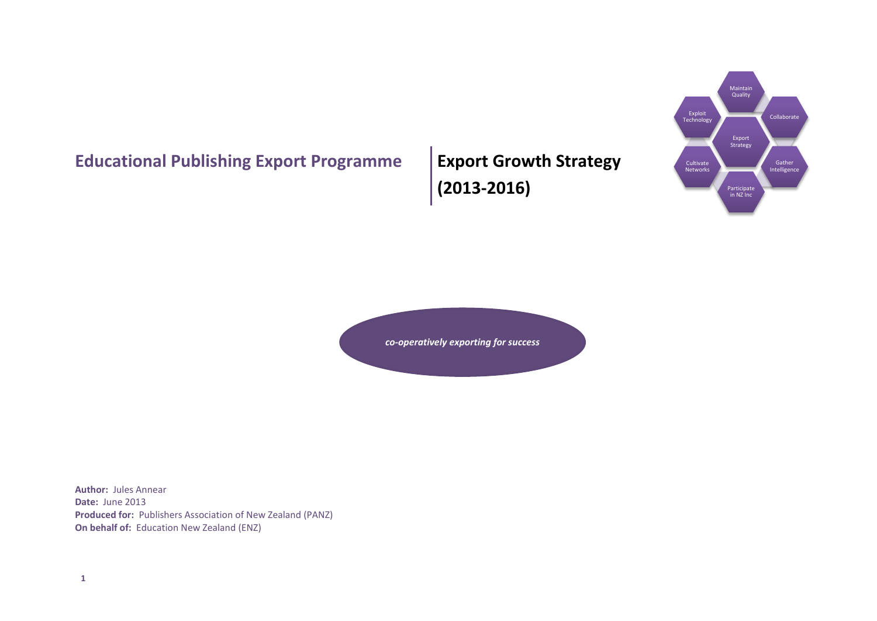# **Educational Publishing Export Programme | Export Growth Strategy**

**(2013-2016)**



*co-operatively exporting for success*

**Author:** Jules Annear **Date:** June 2013 **Produced for:** Publishers Association of New Zealand (PANZ) **On behalf of:** Education New Zealand (ENZ)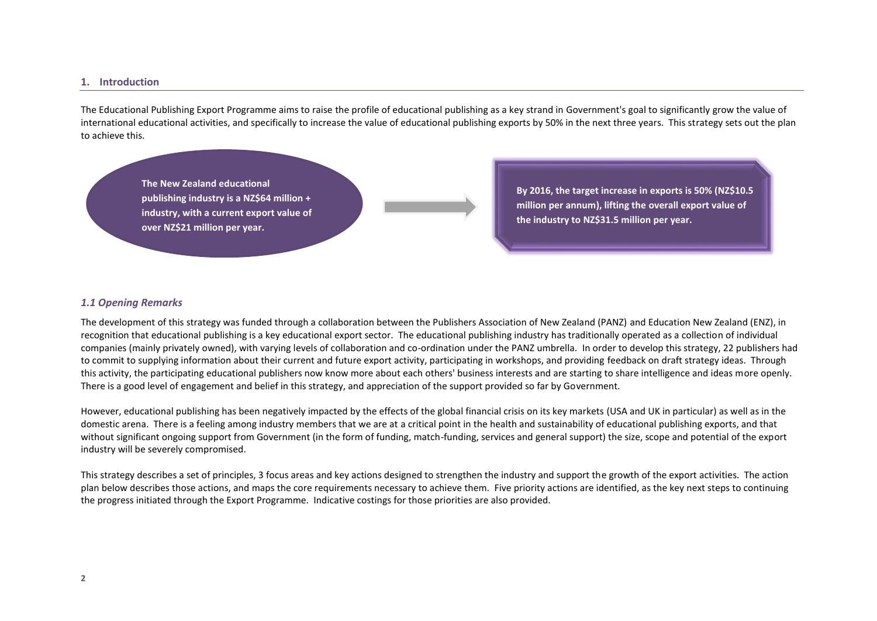### **1. Introduction**

The Educational Publishing Export Programme aims to raise the profile of educational publishing as a key strand in Government's goal to significantly grow the value of international educational activities, and specifically to increase the value of educational publishing exports by 50% in the next three years. This strategy sets out the plan to achieve this.

**The New Zealand educational publishing industry is a NZ\$64 million + industry, with a current export value of over NZ\$21 million per year.**

**By 2016, the target increase in exports is 50% (NZ\$10.5 million per annum), lifting the overall export value of the industry to NZ\$31.5 million per year.**

#### *1.1 Opening Remarks*

The development of this strategy was funded through a collaboration between the Publishers Association of New Zealand (PANZ) and Education New Zealand (ENZ), in recognition that educational publishing is a key educational export sector. The educational publishing industry has traditionally operated as a collection of individual companies (mainly privately owned), with varying levels of collaboration and co-ordination under the PANZ umbrella. In order to develop this strategy, 22 publishers had to commit to supplying information about their current and future export activity, participating in workshops, and providing feedback on draft strategy ideas. Through this activity, the participating educational publishers now know more about each others' business interests and are starting to share intelligence and ideas more openly. There is a good level of engagement and belief in this strategy, and appreciation of the support provided so far by Government.

However, educational publishing has been negatively impacted by the effects of the global financial crisis on its key markets (USA and UK in particular) as well as in the domestic arena. There is a feeling among industry members that we are at a critical point in the health and sustainability of educational publishing exports, and that without significant ongoing support from Government (in the form of funding, match-funding, services and general support) the size, scope and potential of the export industry will be severely compromised.

This strategy describes a set of principles, 3 focus areas and key actions designed to strengthen the industry and support the growth of the export activities. The action plan below describes those actions, and maps the core requirements necessary to achieve them. Five priority actions are identified, as the key next steps to continuing the progress initiated through the Export Programme. Indicative costings for those priorities are also provided.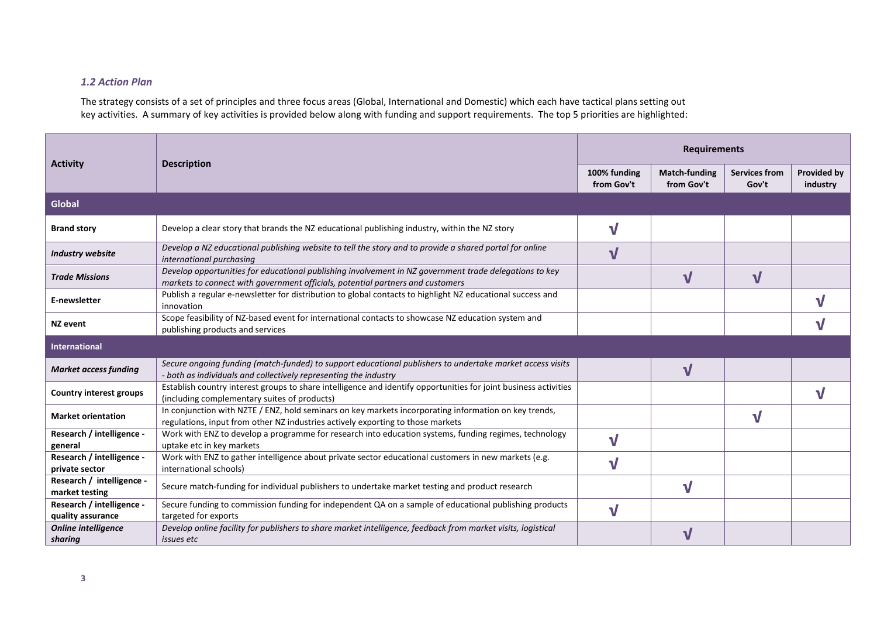# *1.2 Action Plan*

The strategy consists of a set of principles and three focus areas (Global, International and Domestic) which each have tactical plans setting out key activities. A summary of key activities is provided below along with funding and support requirements. The top 5 priorities are highlighted:

|                                                                                                                                                           | <b>Description</b>                                                                                                                                                                       |                            | <b>Requirements</b>                |                               |                                |  |
|-----------------------------------------------------------------------------------------------------------------------------------------------------------|------------------------------------------------------------------------------------------------------------------------------------------------------------------------------------------|----------------------------|------------------------------------|-------------------------------|--------------------------------|--|
| <b>Activity</b>                                                                                                                                           |                                                                                                                                                                                          | 100% funding<br>from Gov't | <b>Match-funding</b><br>from Gov't | <b>Services from</b><br>Gov't | <b>Provided by</b><br>industry |  |
| Global                                                                                                                                                    |                                                                                                                                                                                          |                            |                                    |                               |                                |  |
| <b>Brand story</b>                                                                                                                                        | Develop a clear story that brands the NZ educational publishing industry, within the NZ story                                                                                            | $\mathbf v$                |                                    |                               |                                |  |
| <b>Industry website</b>                                                                                                                                   | Develop a NZ educational publishing website to tell the story and to provide a shared portal for online<br>international purchasing                                                      | $\mathbf v$                |                                    |                               |                                |  |
| <b>Trade Missions</b>                                                                                                                                     | Develop opportunities for educational publishing involvement in NZ government trade delegations to key<br>markets to connect with government officials, potential partners and customers |                            | $\mathbf v$                        | $\mathbf v$                   |                                |  |
| E-newsletter                                                                                                                                              | Publish a regular e-newsletter for distribution to global contacts to highlight NZ educational success and<br>innovation                                                                 |                            |                                    |                               |                                |  |
| Scope feasibility of NZ-based event for international contacts to showcase NZ education system and<br><b>NZ</b> event<br>publishing products and services |                                                                                                                                                                                          |                            |                                    |                               |                                |  |
| <b>International</b>                                                                                                                                      |                                                                                                                                                                                          |                            |                                    |                               |                                |  |
| <b>Market access funding</b>                                                                                                                              | Secure ongoing funding (match-funded) to support educational publishers to undertake market access visits<br>- both as individuals and collectively representing the industry            |                            | $\mathbf v$                        |                               |                                |  |
| <b>Country interest groups</b>                                                                                                                            | Establish country interest groups to share intelligence and identify opportunities for joint business activities<br>(including complementary suites of products)                         |                            |                                    |                               |                                |  |
| <b>Market orientation</b>                                                                                                                                 | In conjunction with NZTE / ENZ, hold seminars on key markets incorporating information on key trends,<br>regulations, input from other NZ industries actively exporting to those markets |                            |                                    | V                             |                                |  |
| Research / intelligence -<br>general                                                                                                                      | Work with ENZ to develop a programme for research into education systems, funding regimes, technology<br>uptake etc in key markets                                                       | $\mathbf v$                |                                    |                               |                                |  |
| Research / intelligence -<br>private sector                                                                                                               | Work with ENZ to gather intelligence about private sector educational customers in new markets (e.g.<br>international schools)                                                           | V                          |                                    |                               |                                |  |
| Research / intelligence -<br>market testing                                                                                                               | Secure match-funding for individual publishers to undertake market testing and product research                                                                                          | V                          |                                    |                               |                                |  |
| Research / intelligence -<br>quality assurance                                                                                                            | Secure funding to commission funding for independent QA on a sample of educational publishing products<br>targeted for exports                                                           | $\mathbf v$                |                                    |                               |                                |  |
| <b>Online intelligence</b><br>sharing                                                                                                                     | Develop online facility for publishers to share market intelligence, feedback from market visits, logistical<br>issues etc                                                               |                            |                                    |                               |                                |  |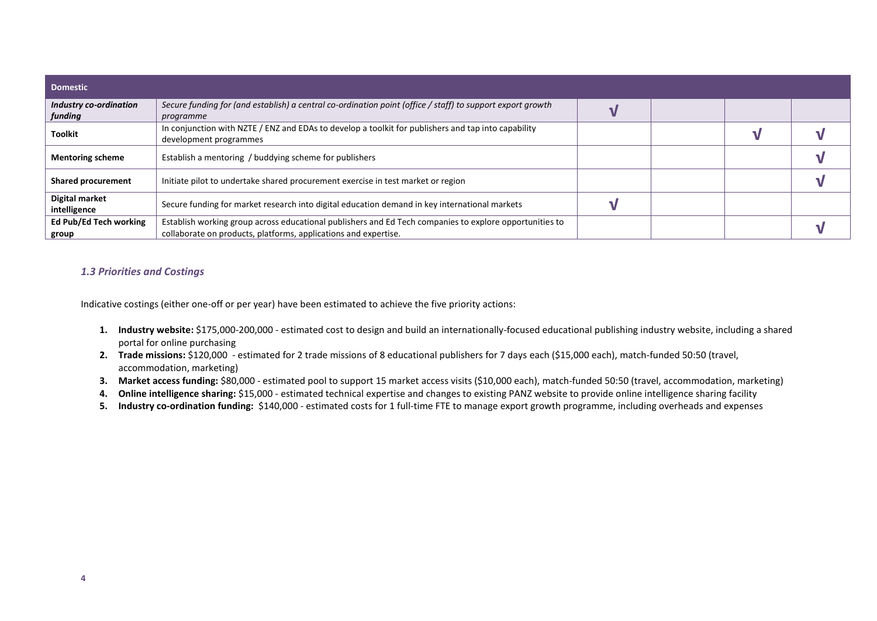| <b>Domestic</b>                   |                                                                                                                                                                            |  |  |
|-----------------------------------|----------------------------------------------------------------------------------------------------------------------------------------------------------------------------|--|--|
| Industry co-ordination<br>funding | Secure funding for (and establish) a central co-ordination point (office / staff) to support export growth<br>programme                                                    |  |  |
| <b>Toolkit</b>                    | In conjunction with NZTE / ENZ and EDAs to develop a toolkit for publishers and tap into capability<br>development programmes                                              |  |  |
| <b>Mentoring scheme</b>           | Establish a mentoring / buddying scheme for publishers                                                                                                                     |  |  |
| <b>Shared procurement</b>         | Initiate pilot to undertake shared procurement exercise in test market or region                                                                                           |  |  |
| Digital market<br>intelligence    | Secure funding for market research into digital education demand in key international markets                                                                              |  |  |
| Ed Pub/Ed Tech working<br>group   | Establish working group across educational publishers and Ed Tech companies to explore opportunities to<br>collaborate on products, platforms, applications and expertise. |  |  |

# *1.3 Priorities and Costings*

Indicative costings (either one-off or per year) have been estimated to achieve the five priority actions:

- **1. Industry website:** \$175,000-200,000 estimated cost to design and build an internationally-focused educational publishing industry website, including a shared portal for online purchasing
- **2. Trade missions:** \$120,000 estimated for 2 trade missions of 8 educational publishers for 7 days each (\$15,000 each), match-funded 50:50 (travel, accommodation, marketing)
- **3. Market access funding:** \$80,000 estimated pool to support 15 market access visits (\$10,000 each), match-funded 50:50 (travel, accommodation, marketing)
- **4. Online intelligence sharing:** \$15,000 estimated technical expertise and changes to existing PANZ website to provide online intelligence sharing facility
- **5. Industry co-ordination funding:** \$140,000 estimated costs for 1 full-time FTE to manage export growth programme, including overheads and expenses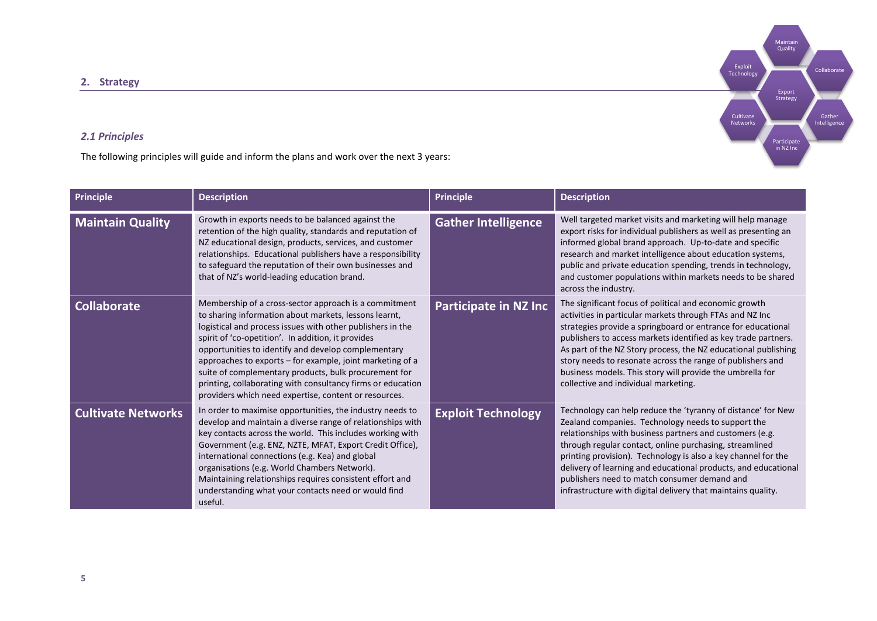**2. Strategy** 

# *2.1 Principles*

The following principles will guide and inform the plans and work over the next 3 years:

| Principle                 | <b>Description</b>                                                                                                                                                                                                                                                                                                                                                                                                                                                                                                                      | <b>Principle</b>             | <b>Description</b>                                                                                                                                                                                                                                                                                                                                                                                                                                                                           |
|---------------------------|-----------------------------------------------------------------------------------------------------------------------------------------------------------------------------------------------------------------------------------------------------------------------------------------------------------------------------------------------------------------------------------------------------------------------------------------------------------------------------------------------------------------------------------------|------------------------------|----------------------------------------------------------------------------------------------------------------------------------------------------------------------------------------------------------------------------------------------------------------------------------------------------------------------------------------------------------------------------------------------------------------------------------------------------------------------------------------------|
| <b>Maintain Quality</b>   | Growth in exports needs to be balanced against the<br>retention of the high quality, standards and reputation of<br>NZ educational design, products, services, and customer<br>relationships. Educational publishers have a responsibility<br>to safeguard the reputation of their own businesses and<br>that of NZ's world-leading education brand.                                                                                                                                                                                    | <b>Gather Intelligence</b>   | Well targeted market visits and marketing will help manage<br>export risks for individual publishers as well as presenting an<br>informed global brand approach. Up-to-date and specific<br>research and market intelligence about education systems,<br>public and private education spending, trends in technology,<br>and customer populations within markets needs to be shared<br>across the industry.                                                                                  |
| <b>Collaborate</b>        | Membership of a cross-sector approach is a commitment<br>to sharing information about markets, lessons learnt,<br>logistical and process issues with other publishers in the<br>spirit of 'co-opetition'. In addition, it provides<br>opportunities to identify and develop complementary<br>approaches to exports - for example, joint marketing of a<br>suite of complementary products, bulk procurement for<br>printing, collaborating with consultancy firms or education<br>providers which need expertise, content or resources. | <b>Participate in NZ Inc</b> | The significant focus of political and economic growth<br>activities in particular markets through FTAs and NZ Inc<br>strategies provide a springboard or entrance for educational<br>publishers to access markets identified as key trade partners.<br>As part of the NZ Story process, the NZ educational publishing<br>story needs to resonate across the range of publishers and<br>business models. This story will provide the umbrella for<br>collective and individual marketing.    |
| <b>Cultivate Networks</b> | In order to maximise opportunities, the industry needs to<br>develop and maintain a diverse range of relationships with<br>key contacts across the world. This includes working with<br>Government (e.g. ENZ, NZTE, MFAT, Export Credit Office),<br>international connections (e.g. Kea) and global<br>organisations (e.g. World Chambers Network).<br>Maintaining relationships requires consistent effort and<br>understanding what your contacts need or would find<br>useful.                                                       | <b>Exploit Technology</b>    | Technology can help reduce the 'tyranny of distance' for New<br>Zealand companies. Technology needs to support the<br>relationships with business partners and customers (e.g.<br>through regular contact, online purchasing, streamlined<br>printing provision). Technology is also a key channel for the<br>delivery of learning and educational products, and educational<br>publishers need to match consumer demand and<br>infrastructure with digital delivery that maintains quality. |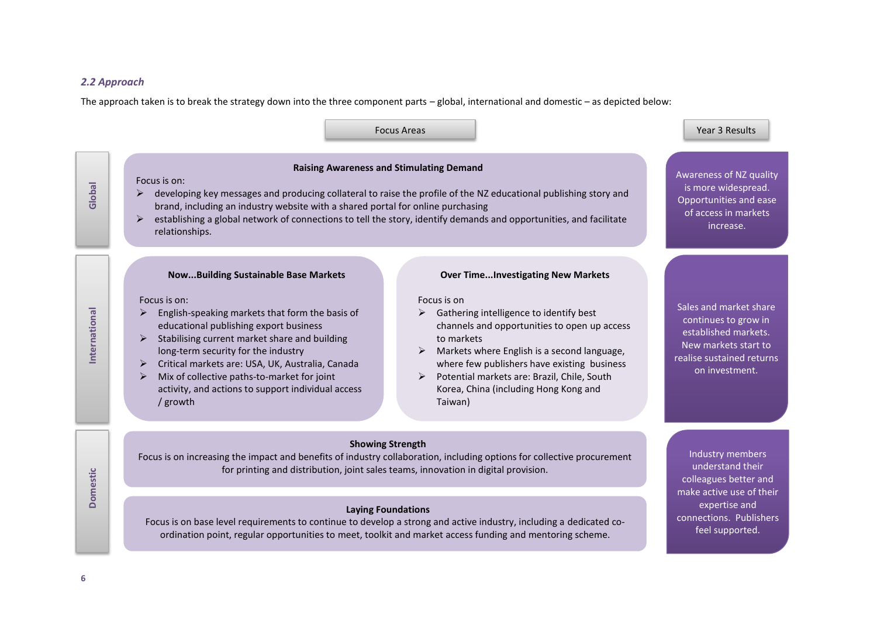## *2.2 Approach*

The approach taken is to break the strategy down into the three component parts – global, international and domestic – as depicted below:

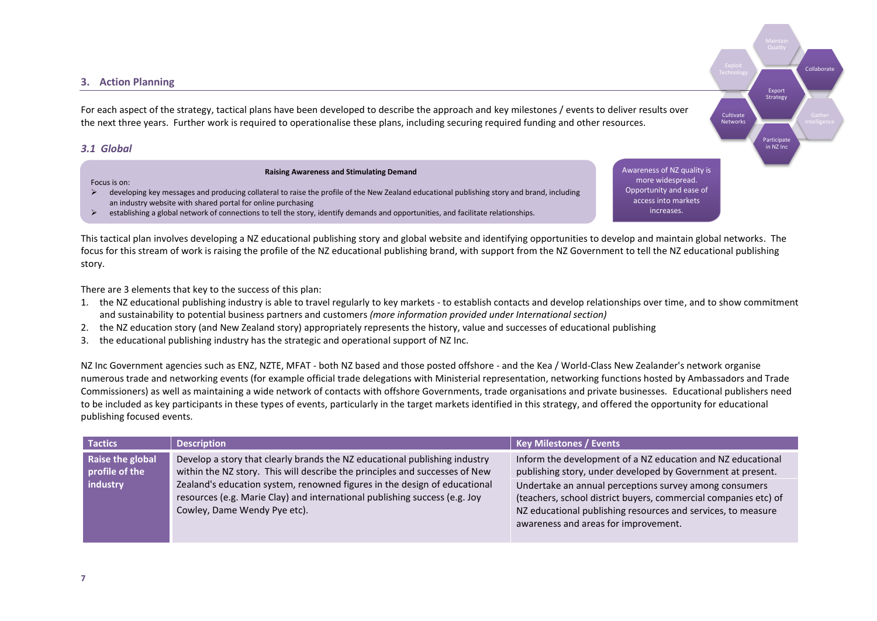## **3. Action Planning**

For each aspect of the strategy, tactical plans have been developed to describe the approach and key milestones / events to deliver results over the next three years. Further work is required to operationalise these plans, including securing required funding and other resources.

## *3.1 Global*

Focus is on:

**Raising Awareness and Stimulating Demand**

Awareness of NZ quality is more widespread. Opportunity and ease of access into markets increases.

Export **Strategy** 

**Participate** in NZ Inc

**Cultivate** Networks Collaborat

- $\triangleright$  developing key messages and producing collateral to raise the profile of the New Zealand educational publishing story and brand, including an industry website with shared portal for online purchasing
- $\triangleright$  establishing a global network of connections to tell the story, identify demands and opportunities, and facilitate relationships.

This tactical plan involves developing a NZ educational publishing story and global website and identifying opportunities to develop and maintain global networks. The focus for this stream of work is raising the profile of the NZ educational publishing brand, with support from the NZ Government to tell the NZ educational publishing story.

There are 3 elements that key to the success of this plan:

- 1. the NZ educational publishing industry is able to travel regularly to key markets to establish contacts and develop relationships over time, and to show commitment and sustainability to potential business partners and customers *(more information provided under International section)*
- 2. the NZ education story (and New Zealand story) appropriately represents the history, value and successes of educational publishing
- 3. the educational publishing industry has the strategic and operational support of NZ Inc.

NZ Inc Government agencies such as ENZ, NZTE, MFAT - both NZ based and those posted offshore - and the Kea / World-Class New Zealander's network organise numerous trade and networking events (for example official trade delegations with Ministerial representation, networking functions hosted by Ambassadors and Trade Commissioners) as well as maintaining a wide network of contacts with offshore Governments, trade organisations and private businesses. Educational publishers need to be included as key participants in these types of events, particularly in the target markets identified in this strategy, and offered the opportunity for educational publishing focused events.

| <b>Tactics</b>                     | <b>Description</b>                                                                                                                                                                      | Key Milestones / Events                                                                                                                                                                                                           |
|------------------------------------|-----------------------------------------------------------------------------------------------------------------------------------------------------------------------------------------|-----------------------------------------------------------------------------------------------------------------------------------------------------------------------------------------------------------------------------------|
| Raise the global<br>profile of the | Develop a story that clearly brands the NZ educational publishing industry<br>within the NZ story. This will describe the principles and successes of New                               | Inform the development of a NZ education and NZ educational<br>publishing story, under developed by Government at present.                                                                                                        |
| industry                           | Zealand's education system, renowned figures in the design of educational<br>resources (e.g. Marie Clay) and international publishing success (e.g. Joy<br>Cowley, Dame Wendy Pye etc). | Undertake an annual perceptions survey among consumers<br>(teachers, school district buyers, commercial companies etc) of<br>NZ educational publishing resources and services, to measure<br>awareness and areas for improvement. |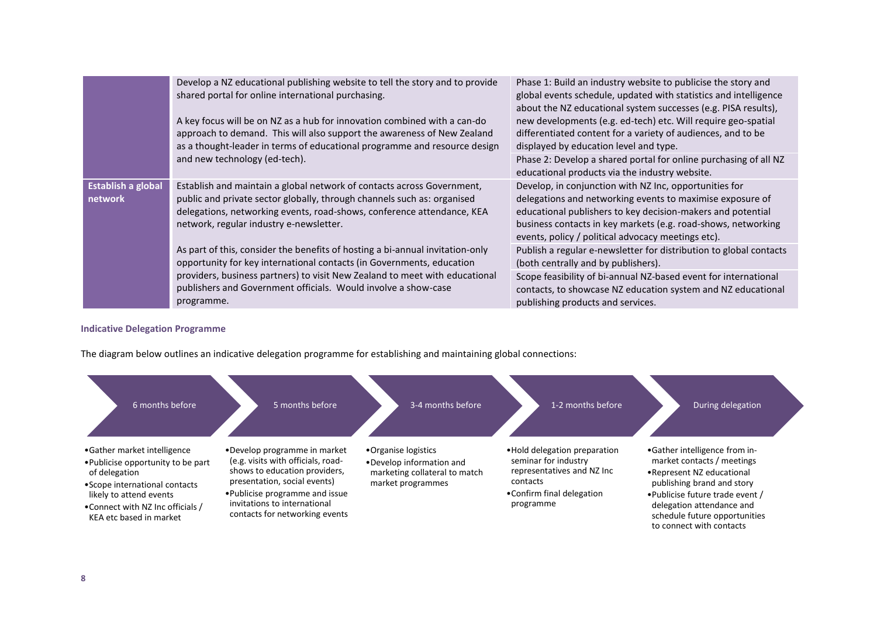|                                                    | Develop a NZ educational publishing website to tell the story and to provide<br>shared portal for online international purchasing.<br>A key focus will be on NZ as a hub for innovation combined with a can-do<br>approach to demand. This will also support the awareness of New Zealand<br>as a thought-leader in terms of educational programme and resource design | Phase 1: Build an industry website to publicise the story and<br>global events schedule, updated with statistics and intelligence<br>about the NZ educational system successes (e.g. PISA results),<br>new developments (e.g. ed-tech) etc. Will require geo-spatial<br>differentiated content for a variety of audiences, and to be<br>displayed by education level and type. |
|----------------------------------------------------|------------------------------------------------------------------------------------------------------------------------------------------------------------------------------------------------------------------------------------------------------------------------------------------------------------------------------------------------------------------------|--------------------------------------------------------------------------------------------------------------------------------------------------------------------------------------------------------------------------------------------------------------------------------------------------------------------------------------------------------------------------------|
|                                                    | and new technology (ed-tech).                                                                                                                                                                                                                                                                                                                                          | Phase 2: Develop a shared portal for online purchasing of all NZ<br>educational products via the industry website.                                                                                                                                                                                                                                                             |
| <b>Establish a global</b><br>network<br>programme. | Establish and maintain a global network of contacts across Government,<br>public and private sector globally, through channels such as: organised<br>delegations, networking events, road-shows, conference attendance, KEA<br>network, regular industry e-newsletter.                                                                                                 | Develop, in conjunction with NZ Inc, opportunities for<br>delegations and networking events to maximise exposure of<br>educational publishers to key decision-makers and potential<br>business contacts in key markets (e.g. road-shows, networking<br>events, policy / political advocacy meetings etc).                                                                      |
|                                                    | As part of this, consider the benefits of hosting a bi-annual invitation-only<br>opportunity for key international contacts (in Governments, education<br>providers, business partners) to visit New Zealand to meet with educational<br>publishers and Government officials. Would involve a show-case                                                                | Publish a regular e-newsletter for distribution to global contacts<br>(both centrally and by publishers).                                                                                                                                                                                                                                                                      |
|                                                    |                                                                                                                                                                                                                                                                                                                                                                        | Scope feasibility of bi-annual NZ-based event for international<br>contacts, to showcase NZ education system and NZ educational<br>publishing products and services.                                                                                                                                                                                                           |

# **Indicative Delegation Programme**

The diagram below outlines an indicative delegation programme for establishing and maintaining global connections:

| 6 months before                                                                                                                                                                                                 | 5 months before                                                                                                                                                                                                                          | 3-4 months before                                                                                     | 1-2 months before                                                                                                                         | During delegation                                                                                                                                                                                                                                     |
|-----------------------------------------------------------------------------------------------------------------------------------------------------------------------------------------------------------------|------------------------------------------------------------------------------------------------------------------------------------------------------------------------------------------------------------------------------------------|-------------------------------------------------------------------------------------------------------|-------------------------------------------------------------------------------------------------------------------------------------------|-------------------------------------------------------------------------------------------------------------------------------------------------------------------------------------------------------------------------------------------------------|
| •Gather market intelligence<br>• Publicise opportunity to be part<br>of delegation<br>• Scope international contacts<br>likely to attend events<br>• Connect with NZ Inc officials /<br>KEA etc based in market | •Develop programme in market<br>(e.g. visits with officials, road-<br>shows to education providers,<br>presentation, social events)<br>• Publicise programme and issue<br>invitations to international<br>contacts for networking events | •Organise logistics<br>•Develop information and<br>marketing collateral to match<br>market programmes | • Hold delegation preparation<br>seminar for industry<br>representatives and NZ Inc<br>contacts<br>•Confirm final delegation<br>programme | •Gather intelligence from in-<br>market contacts / meetings<br>• Represent NZ educational<br>publishing brand and story<br>. Publicise future trade event /<br>delegation attendance and<br>schedule future opportunities<br>to connect with contacts |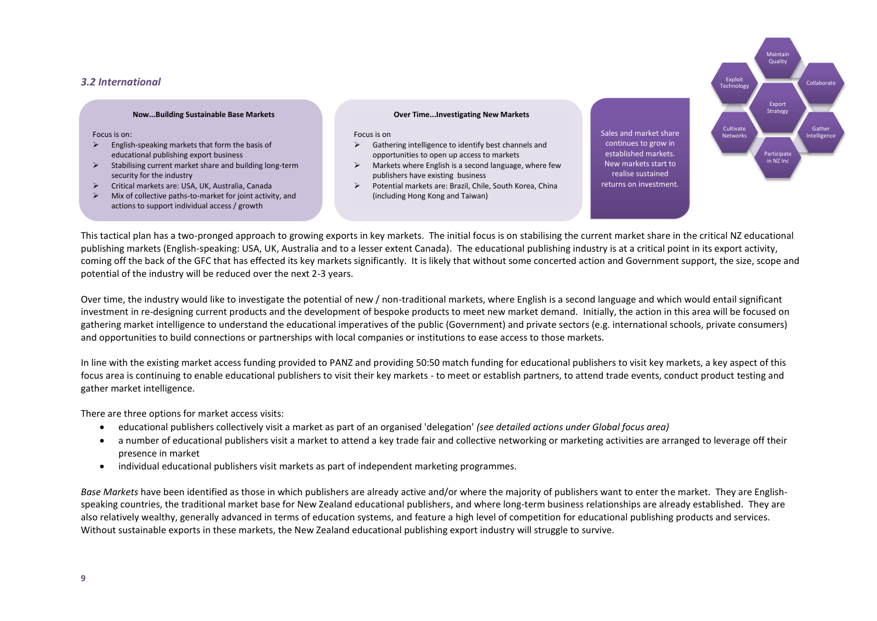## *3.2 International*

#### **Now...Building Sustainable Base Markets**

Focus is on:

- $\triangleright$  English-speaking markets that form the basis of educational publishing export business
- $\triangleright$  Stabilising current market share and building long-term security for the industry
- $\triangleright$  Critical markets are: USA, UK, Australia, Canada<br> $\triangleright$  Mix of collective paths-to-market for ioint activi
- Mix of collective paths-to-market for joint activity, and actions to support individual access / growth

#### **Over Time...Investigating New Markets**

Focus is on

- $\triangleright$  Gathering intelligence to identify best channels and opportunities to open up access to markets
- $\triangleright$  Markets where English is a second language, where few publishers have existing business
- Potential markets are: Brazil, Chile, South Korea, China (including Hong Kong and Taiwan)

Sales and market share continues to grow in established markets. New markets start to realise sustained returns on investment.



This tactical plan has a two-pronged approach to growing exports in key markets. The initial focus is on stabilising the current market share in the critical NZ educational publishing markets (English-speaking: USA, UK, Australia and to a lesser extent Canada). The educational publishing industry is at a critical point in its export activity, coming off the back of the GFC that has effected its key markets significantly. It is likely that without some concerted action and Government support, the size, scope and potential of the industry will be reduced over the next 2-3 years.

Over time, the industry would like to investigate the potential of new / non-traditional markets, where English is a second language and which would entail significant investment in re-designing current products and the development of bespoke products to meet new market demand. Initially, the action in this area will be focused on gathering market intelligence to understand the educational imperatives of the public (Government) and private sectors (e.g. international schools, private consumers) and opportunities to build connections or partnerships with local companies or institutions to ease access to those markets.

In line with the existing market access funding provided to PANZ and providing 50:50 match funding for educational publishers to visit key markets, a key aspect of this focus area is continuing to enable educational publishers to visit their key markets - to meet or establish partners, to attend trade events, conduct product testing and gather market intelligence.

There are three options for market access visits:

- educational publishers collectively visit a market as part of an organised 'delegation' *(see detailed actions under Global focus area)*
- a number of educational publishers visit a market to attend a key trade fair and collective networking or marketing activities are arranged to leverage off their presence in market
- individual educational publishers visit markets as part of independent marketing programmes.

*Base Markets* have been identified as those in which publishers are already active and/or where the majority of publishers want to enter the market. They are Englishspeaking countries, the traditional market base for New Zealand educational publishers, and where long-term business relationships are already established. They are also relatively wealthy, generally advanced in terms of education systems, and feature a high level of competition for educational publishing products and services. Without sustainable exports in these markets, the New Zealand educational publishing export industry will struggle to survive.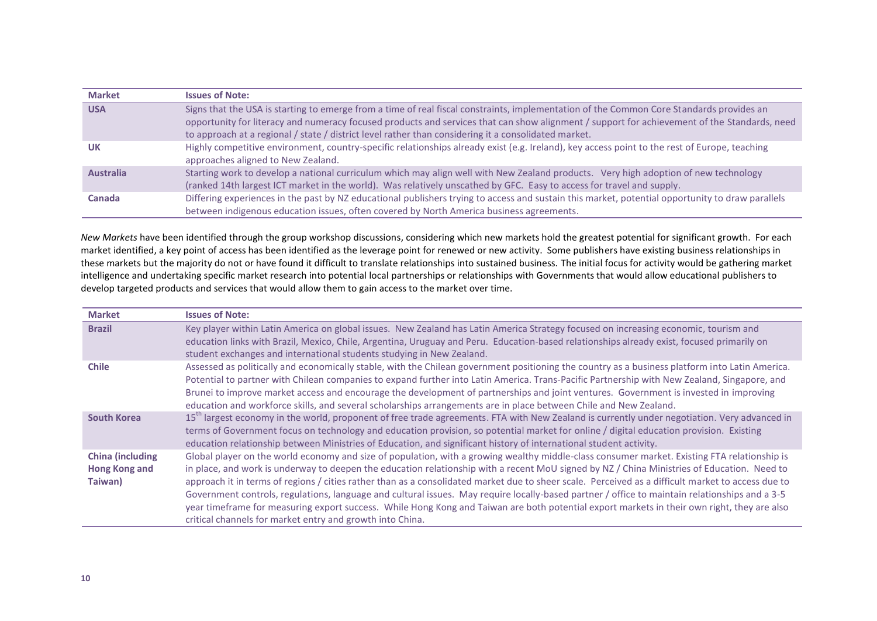| <b>Market</b>    | <b>Issues of Note:</b>                                                                                                                                                                                                                                                                                                                                                                           |
|------------------|--------------------------------------------------------------------------------------------------------------------------------------------------------------------------------------------------------------------------------------------------------------------------------------------------------------------------------------------------------------------------------------------------|
| <b>USA</b>       | Signs that the USA is starting to emerge from a time of real fiscal constraints, implementation of the Common Core Standards provides an<br>opportunity for literacy and numeracy focused products and services that can show alignment / support for achievement of the Standards, need<br>to approach at a regional / state / district level rather than considering it a consolidated market. |
| UK               | Highly competitive environment, country-specific relationships already exist (e.g. Ireland), key access point to the rest of Europe, teaching<br>approaches aligned to New Zealand.                                                                                                                                                                                                              |
| <b>Australia</b> | Starting work to develop a national curriculum which may align well with New Zealand products. Very high adoption of new technology<br>(ranked 14th largest ICT market in the world). Was relatively unscathed by GFC. Easy to access for travel and supply.                                                                                                                                     |
| Canada           | Differing experiences in the past by NZ educational publishers trying to access and sustain this market, potential opportunity to draw parallels<br>between indigenous education issues, often covered by North America business agreements.                                                                                                                                                     |

*New Markets* have been identified through the group workshop discussions, considering which new markets hold the greatest potential for significant growth. For each market identified, a key point of access has been identified as the leverage point for renewed or new activity. Some publishers have existing business relationships in these markets but the majority do not or have found it difficult to translate relationships into sustained business. The initial focus for activity would be gathering market intelligence and undertaking specific market research into potential local partnerships or relationships with Governments that would allow educational publishers to develop targeted products and services that would allow them to gain access to the market over time.

| <b>Market</b>                                              | <b>Issues of Note:</b>                                                                                                                                                                                                                                                                                                                                                                                                                                                                                                                                                                                                                                                                                                                                                                                          |
|------------------------------------------------------------|-----------------------------------------------------------------------------------------------------------------------------------------------------------------------------------------------------------------------------------------------------------------------------------------------------------------------------------------------------------------------------------------------------------------------------------------------------------------------------------------------------------------------------------------------------------------------------------------------------------------------------------------------------------------------------------------------------------------------------------------------------------------------------------------------------------------|
| <b>Brazil</b>                                              | Key player within Latin America on global issues. New Zealand has Latin America Strategy focused on increasing economic, tourism and<br>education links with Brazil, Mexico, Chile, Argentina, Uruguay and Peru. Education-based relationships already exist, focused primarily on<br>student exchanges and international students studying in New Zealand.                                                                                                                                                                                                                                                                                                                                                                                                                                                     |
| <b>Chile</b>                                               | Assessed as politically and economically stable, with the Chilean government positioning the country as a business platform into Latin America.<br>Potential to partner with Chilean companies to expand further into Latin America. Trans-Pacific Partnership with New Zealand, Singapore, and<br>Brunei to improve market access and encourage the development of partnerships and joint ventures. Government is invested in improving<br>education and workforce skills, and several scholarships arrangements are in place between Chile and New Zealand.                                                                                                                                                                                                                                                   |
| <b>South Korea</b>                                         | 15 <sup>th</sup> largest economy in the world, proponent of free trade agreements. FTA with New Zealand is currently under negotiation. Very advanced in<br>terms of Government focus on technology and education provision, so potential market for online / digital education provision. Existing<br>education relationship between Ministries of Education, and significant history of international student activity.                                                                                                                                                                                                                                                                                                                                                                                       |
| <b>China (including</b><br><b>Hong Kong and</b><br>Taiwan) | Global player on the world economy and size of population, with a growing wealthy middle-class consumer market. Existing FTA relationship is<br>in place, and work is underway to deepen the education relationship with a recent MoU signed by NZ / China Ministries of Education. Need to<br>approach it in terms of regions / cities rather than as a consolidated market due to sheer scale. Perceived as a difficult market to access due to<br>Government controls, regulations, language and cultural issues. May require locally-based partner / office to maintain relationships and a 3-5<br>year timeframe for measuring export success. While Hong Kong and Taiwan are both potential export markets in their own right, they are also<br>critical channels for market entry and growth into China. |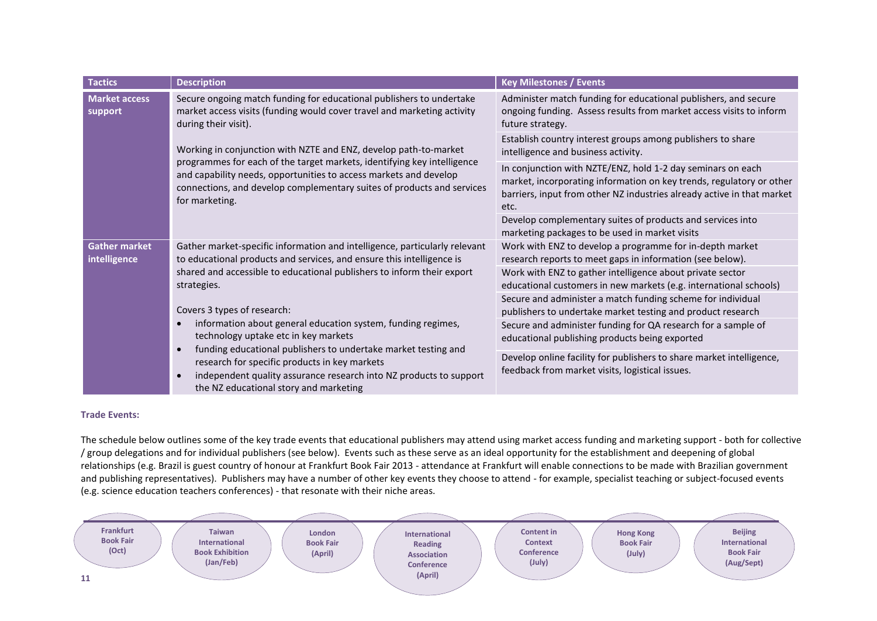| <b>Tactics</b>                                                                                                                                                                                             | <b>Description</b>                                                                                                                                                                                                                                                                                                                                                     | <b>Key Milestones / Events</b>                                                                                                                                                                                        |
|------------------------------------------------------------------------------------------------------------------------------------------------------------------------------------------------------------|------------------------------------------------------------------------------------------------------------------------------------------------------------------------------------------------------------------------------------------------------------------------------------------------------------------------------------------------------------------------|-----------------------------------------------------------------------------------------------------------------------------------------------------------------------------------------------------------------------|
| <b>Market access</b><br>Secure ongoing match funding for educational publishers to undertake<br>market access visits (funding would cover travel and marketing activity<br>support<br>during their visit). | Administer match funding for educational publishers, and secure<br>ongoing funding. Assess results from market access visits to inform<br>future strategy.                                                                                                                                                                                                             |                                                                                                                                                                                                                       |
|                                                                                                                                                                                                            | Working in conjunction with NZTE and ENZ, develop path-to-market                                                                                                                                                                                                                                                                                                       | Establish country interest groups among publishers to share<br>intelligence and business activity.                                                                                                                    |
|                                                                                                                                                                                                            | programmes for each of the target markets, identifying key intelligence<br>and capability needs, opportunities to access markets and develop<br>connections, and develop complementary suites of products and services<br>for marketing.                                                                                                                               | In conjunction with NZTE/ENZ, hold 1-2 day seminars on each<br>market, incorporating information on key trends, regulatory or other<br>barriers, input from other NZ industries already active in that market<br>etc. |
|                                                                                                                                                                                                            |                                                                                                                                                                                                                                                                                                                                                                        | Develop complementary suites of products and services into<br>marketing packages to be used in market visits                                                                                                          |
| <b>Gather market</b><br>to educational products and services, and ensure this intelligence is<br>intelligence<br>shared and accessible to educational publishers to inform their export<br>strategies.     | Gather market-specific information and intelligence, particularly relevant                                                                                                                                                                                                                                                                                             | Work with ENZ to develop a programme for in-depth market<br>research reports to meet gaps in information (see below).                                                                                                 |
|                                                                                                                                                                                                            |                                                                                                                                                                                                                                                                                                                                                                        | Work with ENZ to gather intelligence about private sector<br>educational customers in new markets (e.g. international schools)                                                                                        |
|                                                                                                                                                                                                            | Covers 3 types of research:<br>information about general education system, funding regimes,<br>technology uptake etc in key markets<br>funding educational publishers to undertake market testing and<br>research for specific products in key markets<br>independent quality assurance research into NZ products to support<br>the NZ educational story and marketing | Secure and administer a match funding scheme for individual<br>publishers to undertake market testing and product research                                                                                            |
|                                                                                                                                                                                                            |                                                                                                                                                                                                                                                                                                                                                                        | Secure and administer funding for QA research for a sample of<br>educational publishing products being exported                                                                                                       |
|                                                                                                                                                                                                            |                                                                                                                                                                                                                                                                                                                                                                        | Develop online facility for publishers to share market intelligence,<br>feedback from market visits, logistical issues.                                                                                               |

## **Trade Events:**

The schedule below outlines some of the key trade events that educational publishers may attend using market access funding and marketing support - both for collective / group delegations and for individual publishers (see below). Events such as these serve as an ideal opportunity for the establishment and deepening of global relationships (e.g. Brazil is guest country of honour at Frankfurt Book Fair 2013 - attendance at Frankfurt will enable connections to be made with Brazilian government and publishing representatives). Publishers may have a number of other key events they choose to attend - for example, specialist teaching or subject-focused events (e.g. science education teachers conferences) - that resonate with their niche areas.

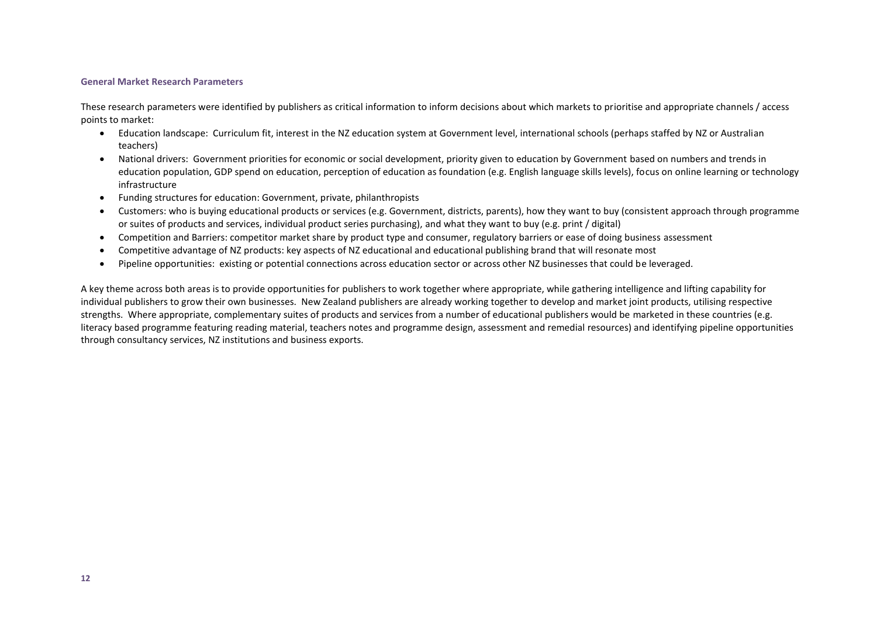#### **General Market Research Parameters**

These research parameters were identified by publishers as critical information to inform decisions about which markets to prioritise and appropriate channels / access points to market:

- Education landscape: Curriculum fit, interest in the NZ education system at Government level, international schools (perhaps staffed by NZ or Australian teachers)
- National drivers: Government priorities for economic or social development, priority given to education by Government based on numbers and trends in education population, GDP spend on education, perception of education as foundation (e.g. English language skills levels), focus on online learning or technology infrastructure
- Funding structures for education: Government, private, philanthropists
- Customers: who is buying educational products or services (e.g. Government, districts, parents), how they want to buy (consistent approach through programme or suites of products and services, individual product series purchasing), and what they want to buy (e.g. print / digital)
- Competition and Barriers: competitor market share by product type and consumer, regulatory barriers or ease of doing business assessment
- Competitive advantage of NZ products: key aspects of NZ educational and educational publishing brand that will resonate most
- Pipeline opportunities: existing or potential connections across education sector or across other NZ businesses that could be leveraged.

A key theme across both areas is to provide opportunities for publishers to work together where appropriate, while gathering intelligence and lifting capability for individual publishers to grow their own businesses. New Zealand publishers are already working together to develop and market joint products, utilising respective strengths. Where appropriate, complementary suites of products and services from a number of educational publishers would be marketed in these countries (e.g. literacy based programme featuring reading material, teachers notes and programme design, assessment and remedial resources) and identifying pipeline opportunities through consultancy services, NZ institutions and business exports.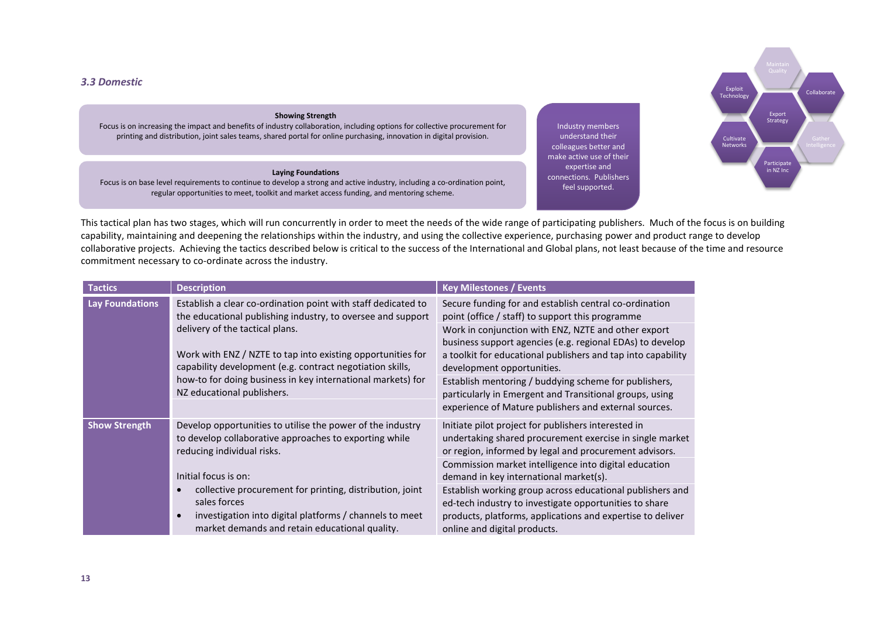## *3.3 Domestic*

#### **Showing Strength**

Focus is on increasing the impact and benefits of industry collaboration, including options for collective procurement for printing and distribution, joint sales teams, shared portal for online purchasing, innovation in digital provision.

#### **Laying Foundations**

Focus is on base level requirements to continue to develop a strong and active industry, including a co-ordination point, regular opportunities to meet, toolkit and market access funding, and mentoring scheme.

Industry members understand their colleagues better and make active use of their expertise and connections. Publishers feel supported.



This tactical plan has two stages, which will run concurrently in order to meet the needs of the wide range of participating publishers. Much of the focus is on building capability, maintaining and deepening the relationships within the industry, and using the collective experience, purchasing power and product range to develop collaborative projects. Achieving the tactics described below is critical to the success of the International and Global plans, not least because of the time and resource commitment necessary to co-ordinate across the industry.

| <b>Tactics</b>         | <b>Description</b>                                                                                                                                                                                                                                                                                                                                                                       | <b>Key Milestones / Events</b>                                                                                                                                                                                                                                                                                                                                                                                                                                                                            |
|------------------------|------------------------------------------------------------------------------------------------------------------------------------------------------------------------------------------------------------------------------------------------------------------------------------------------------------------------------------------------------------------------------------------|-----------------------------------------------------------------------------------------------------------------------------------------------------------------------------------------------------------------------------------------------------------------------------------------------------------------------------------------------------------------------------------------------------------------------------------------------------------------------------------------------------------|
| <b>Lay Foundations</b> | Establish a clear co-ordination point with staff dedicated to<br>the educational publishing industry, to oversee and support<br>delivery of the tactical plans.<br>Work with ENZ / NZTE to tap into existing opportunities for<br>capability development (e.g. contract negotiation skills,<br>how-to for doing business in key international markets) for<br>NZ educational publishers. | Secure funding for and establish central co-ordination<br>point (office / staff) to support this programme<br>Work in conjunction with ENZ, NZTE and other export<br>business support agencies (e.g. regional EDAs) to develop<br>a toolkit for educational publishers and tap into capability<br>development opportunities.<br>Establish mentoring / buddying scheme for publishers,<br>particularly in Emergent and Transitional groups, using<br>experience of Mature publishers and external sources. |
| <b>Show Strength</b>   | Develop opportunities to utilise the power of the industry<br>to develop collaborative approaches to exporting while<br>reducing individual risks.<br>Initial focus is on:<br>collective procurement for printing, distribution, joint<br>sales forces<br>investigation into digital platforms / channels to meet<br>$\bullet$<br>market demands and retain educational quality.         | Initiate pilot project for publishers interested in<br>undertaking shared procurement exercise in single market<br>or region, informed by legal and procurement advisors.<br>Commission market intelligence into digital education<br>demand in key international market(s).<br>Establish working group across educational publishers and<br>ed-tech industry to investigate opportunities to share<br>products, platforms, applications and expertise to deliver<br>online and digital products.         |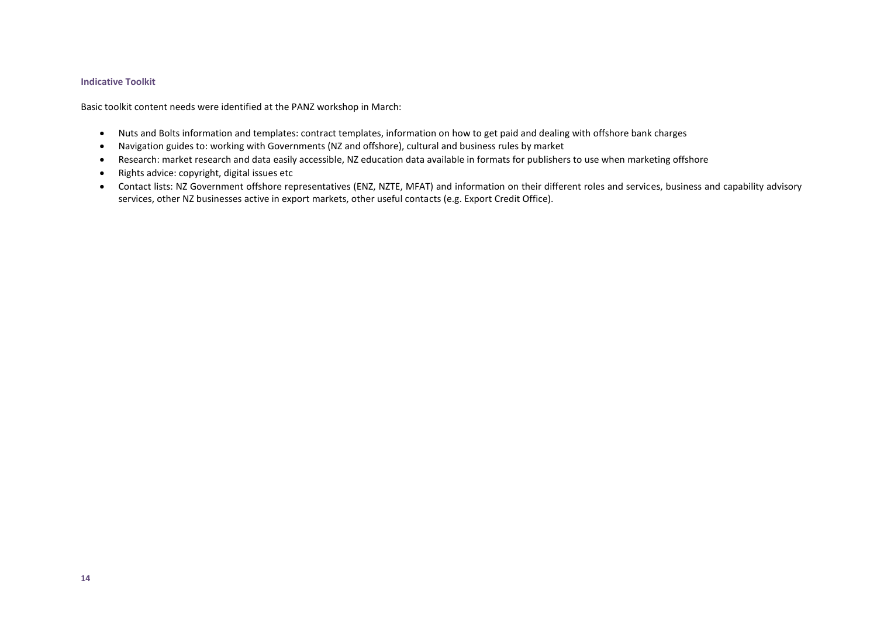#### **Indicative Toolkit**

Basic toolkit content needs were identified at the PANZ workshop in March:

- Nuts and Bolts information and templates: contract templates, information on how to get paid and dealing with offshore bank charges
- Navigation guides to: working with Governments (NZ and offshore), cultural and business rules by market
- Research: market research and data easily accessible, NZ education data available in formats for publishers to use when marketing offshore
- Rights advice: copyright, digital issues etc
- Contact lists: NZ Government offshore representatives (ENZ, NZTE, MFAT) and information on their different roles and services, business and capability advisory services, other NZ businesses active in export markets, other useful contacts (e.g. Export Credit Office).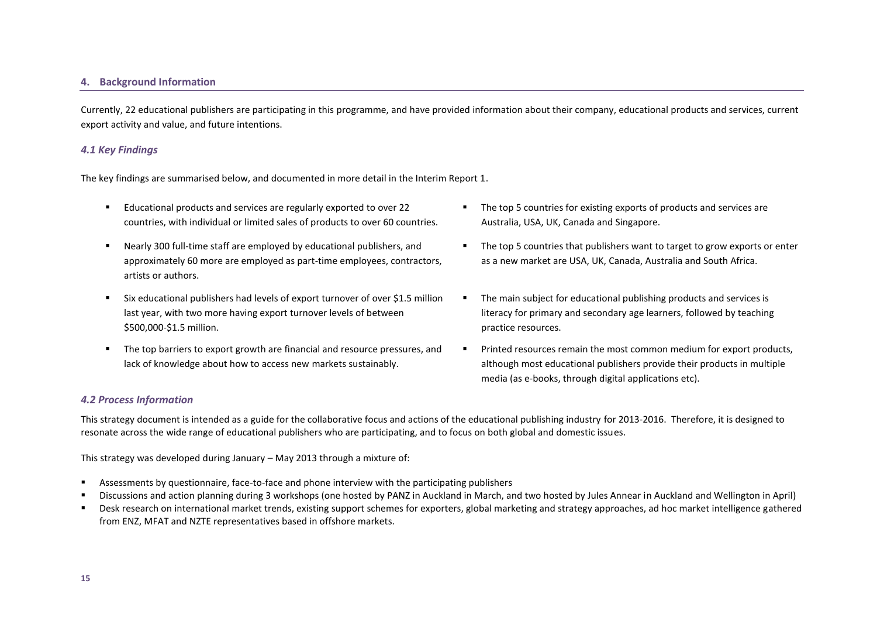#### **4. Background Information**

Currently, 22 educational publishers are participating in this programme, and have provided information about their company, educational products and services, current export activity and value, and future intentions.

## *4.1 Key Findings*

The key findings are summarised below, and documented in more detail in the Interim Report 1.

- Educational products and services are regularly exported to over 22 countries, with individual or limited sales of products to over 60 countries.
- Nearly 300 full-time staff are employed by educational publishers, and approximately 60 more are employed as part-time employees, contractors, artists or authors.
- Six educational publishers had levels of export turnover of over \$1.5 million last year, with two more having export turnover levels of between \$500,000-\$1.5 million.
- The top barriers to export growth are financial and resource pressures, and lack of knowledge about how to access new markets sustainably.
- The top 5 countries for existing exports of products and services are Australia, USA, UK, Canada and Singapore.
- The top 5 countries that publishers want to target to grow exports or enter as a new market are USA, UK, Canada, Australia and South Africa.
- The main subject for educational publishing products and services is literacy for primary and secondary age learners, followed by teaching practice resources.
- **Printed resources remain the most common medium for export products,** although most educational publishers provide their products in multiple media (as e-books, through digital applications etc).

## *4.2 Process Information*

This strategy document is intended as a guide for the collaborative focus and actions of the educational publishing industry for 2013-2016. Therefore, it is designed to resonate across the wide range of educational publishers who are participating, and to focus on both global and domestic issues.

This strategy was developed during January – May 2013 through a mixture of:

- Assessments by questionnaire, face-to-face and phone interview with the participating publishers
- Discussions and action planning during 3 workshops (one hosted by PANZ in Auckland in March, and two hosted by Jules Annear in Auckland and Wellington in April)
- **Paramates in the set on international market trends, existing support schemes for exporters, global marketing and strategy approaches, ad hoc market intelligence gathered** from ENZ, MFAT and NZTE representatives based in offshore markets.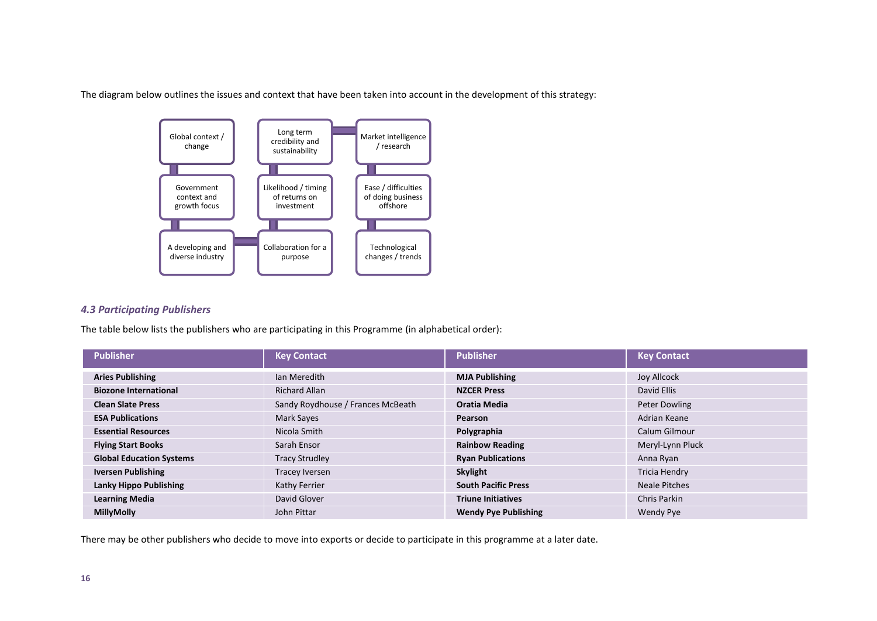The diagram below outlines the issues and context that have been taken into account in the development of this strategy:



## *4.3 Participating Publishers*

The table below lists the publishers who are participating in this Programme (in alphabetical order):

| <b>Publisher</b>                | <b>Key Contact</b>                | <b>Publisher</b>            | <b>Key Contact</b>  |
|---------------------------------|-----------------------------------|-----------------------------|---------------------|
| <b>Aries Publishing</b>         | Ian Meredith                      | <b>MJA Publishing</b>       | Joy Allcock         |
| <b>Biozone International</b>    | <b>Richard Allan</b>              | <b>NZCER Press</b>          | David Ellis         |
| <b>Clean Slate Press</b>        | Sandy Roydhouse / Frances McBeath | Oratia Media                | Peter Dowling       |
| <b>ESA Publications</b>         | Mark Sayes                        | <b>Pearson</b>              | Adrian Keane        |
| <b>Essential Resources</b>      | Nicola Smith                      | Polygraphia                 | Calum Gilmour       |
| <b>Flying Start Books</b>       | Sarah Ensor                       | <b>Rainbow Reading</b>      | Meryl-Lynn Pluck    |
| <b>Global Education Systems</b> | <b>Tracy Strudley</b>             | <b>Ryan Publications</b>    | Anna Ryan           |
| <b>Iversen Publishing</b>       | Tracey Iversen                    | Skylight                    | Tricia Hendry       |
| <b>Lanky Hippo Publishing</b>   | Kathy Ferrier                     | <b>South Pacific Press</b>  | Neale Pitches       |
| <b>Learning Media</b>           | David Glover                      | <b>Triune Initiatives</b>   | <b>Chris Parkin</b> |
| <b>MillyMolly</b>               | John Pittar                       | <b>Wendy Pye Publishing</b> | <b>Wendy Pye</b>    |

There may be other publishers who decide to move into exports or decide to participate in this programme at a later date.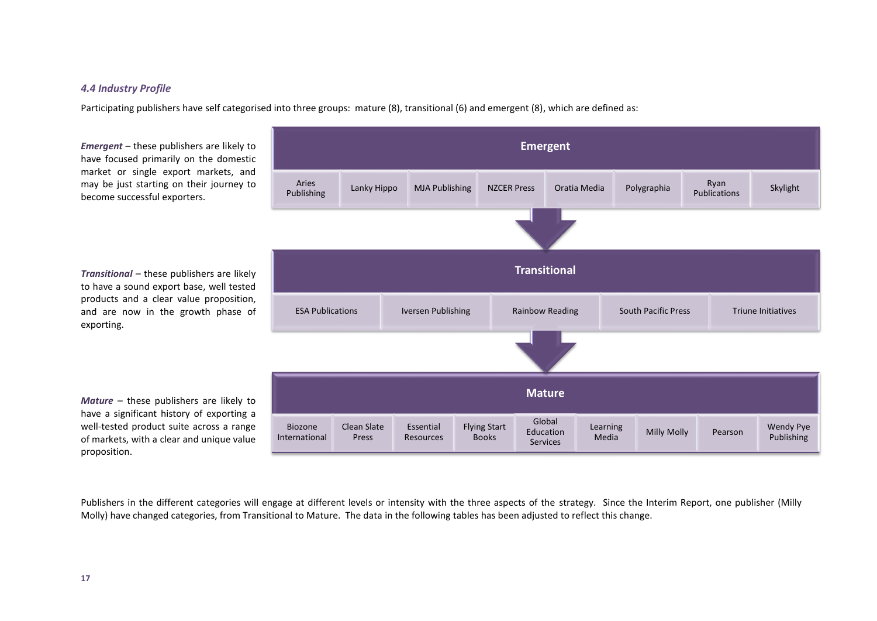# *4.4 Industry Profile*

Participating publishers have self categorised into three groups: mature (8), transitional (6) and emergent (8), which are defined as:

*Emergent* – these publishers are likely to have focused primarily on the domestic market or single export markets, and may be just starting on their journey to become successful exporters.

*Transitional* – these publishers are likely to have a sound export base, well tested products and a clear value proposition, and are now in the growth phase of exporting.

*Mature* – these publishers are likely to have a significant history of exporting a well-tested product suite across a range of markets, with a clear and unique value proposition.



Publishers in the different categories will engage at different levels or intensity with the three aspects of the strategy. Since the Interim Report, one publisher (Milly Molly) have changed categories, from Transitional to Mature. The data in the following tables has been adjusted to reflect this change.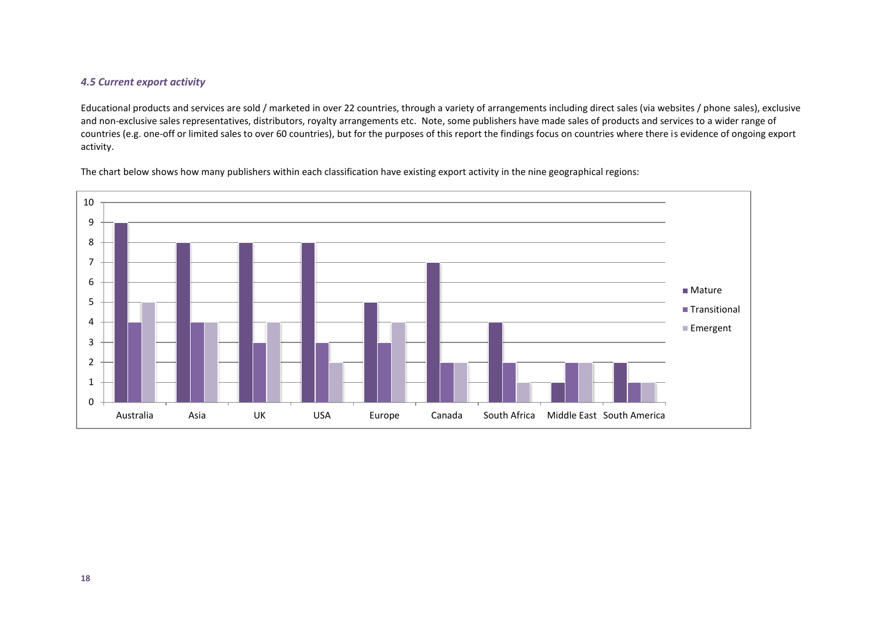# *4.5 Current export activity*

Educational products and services are sold / marketed in over 22 countries, through a variety of arrangements including direct sales (via websites / phone sales), exclusive and non-exclusive sales representatives, distributors, royalty arrangements etc. Note, some publishers have made sales of products and services to a wider range of countries (e.g. one-off or limited sales to over 60 countries), but for the purposes of this report the findings focus on countries where there is evidence of ongoing export activity.



The chart below shows how many publishers within each classification have existing export activity in the nine geographical regions: